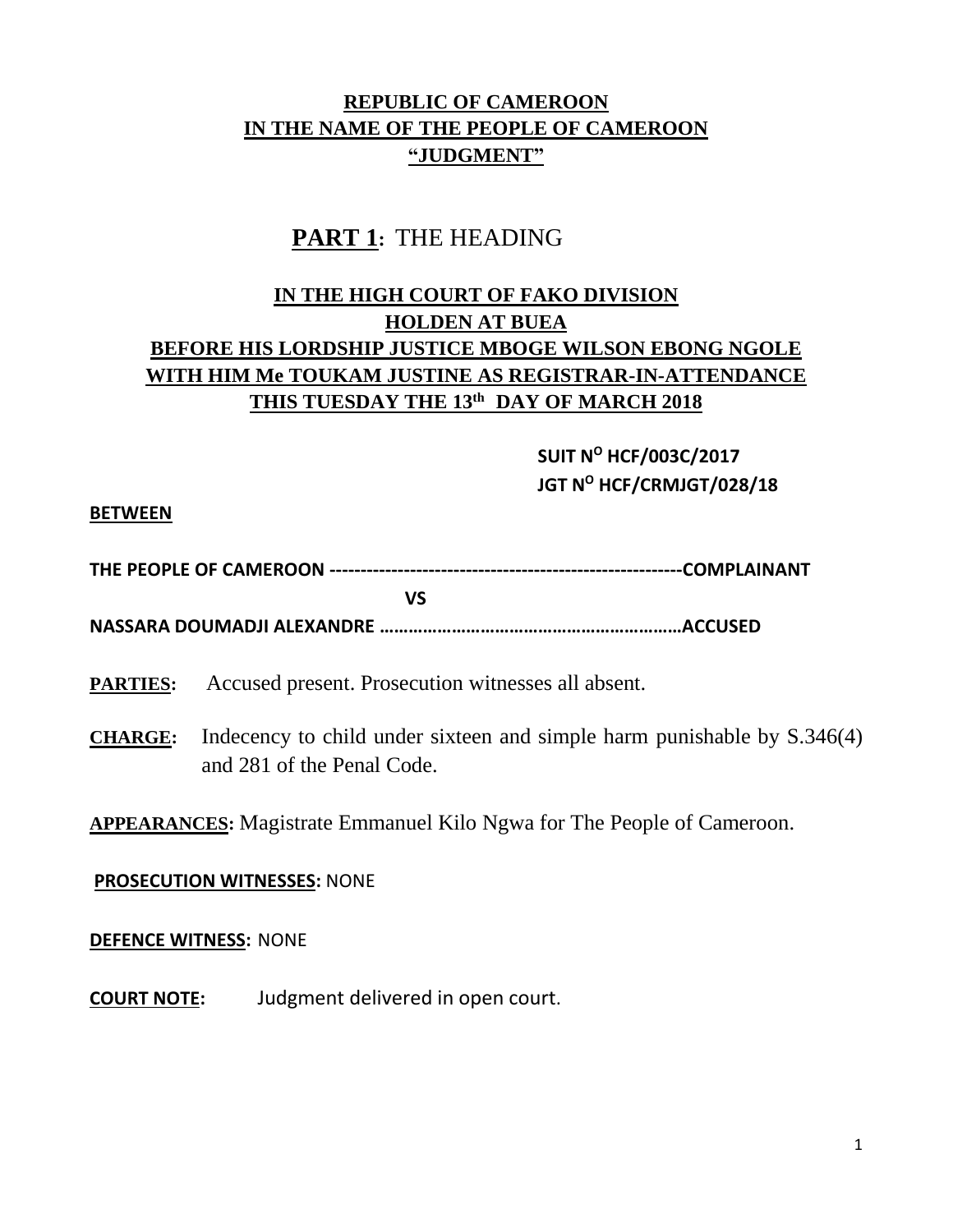## **REPUBLIC OF CAMEROON IN THE NAME OF THE PEOPLE OF CAMEROON "JUDGMENT"**

# **PART 1:** THE HEADING

## **IN THE HIGH COURT OF FAKO DIVISION HOLDEN AT BUEA BEFORE HIS LORDSHIP JUSTICE MBOGE WILSON EBONG NGOLE WITH HIM Me TOUKAM JUSTINE AS REGISTRAR-IN-ATTENDANCE THIS TUESDAY THE 13th DAY OF MARCH 2018**

**SUIT N<sup>O</sup> HCF/003C/2017 JGT N<sup>O</sup> HCF/CRMJGT/028/18**

#### **BETWEEN**

|--|--|--|

**NASSARA DOUMADJI ALEXANDRE ………………………………………………………ACCUSED** 

**PARTIES:** Accused present. Prosecution witnesses all absent.

*SIMPLE STATE STATE STATE STATE STATE STATE STATE STATE STATE STATE STATE STATE STATE STATE STATE STATE STATE STATE STATE STATE STATE STATE STATE STATE STATE STATE STATE STATE STATE STATE STATE STATE STATE STATE STATE STA* 

**CHARGE:** Indecency to child under sixteen and simple harm punishable by S.346(4) and 281 of the Penal Code.

### **APPEARANCES:** Magistrate Emmanuel Kilo Ngwa for The People of Cameroon.

#### **PROSECUTION WITNESSES:** NONE

#### **DEFENCE WITNESS:** NONE

**COURT NOTE:** Judgment delivered in open court.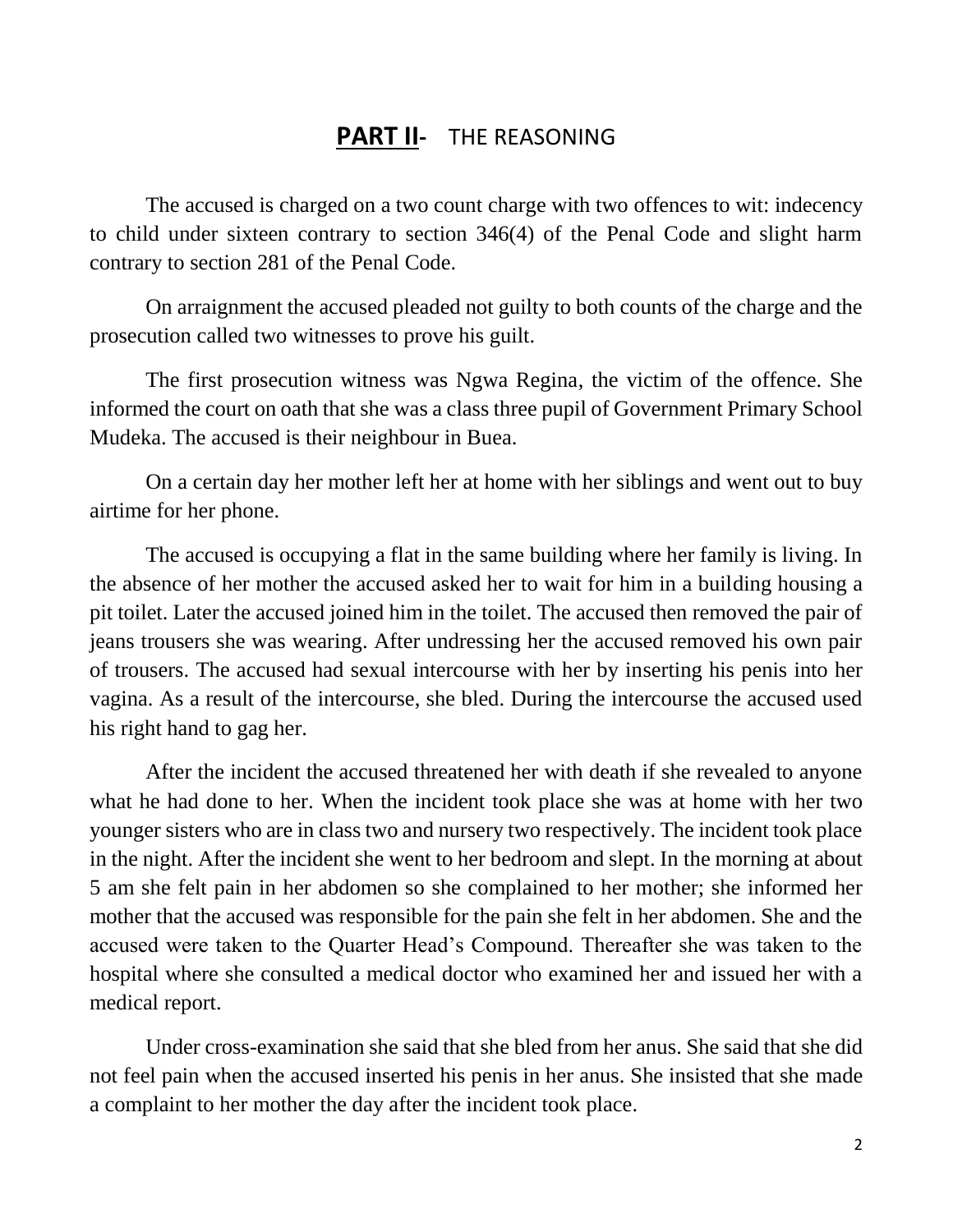# **PART II-** THE REASONING

The accused is charged on a two count charge with two offences to wit: indecency to child under sixteen contrary to section 346(4) of the Penal Code and slight harm contrary to section 281 of the Penal Code.

On arraignment the accused pleaded not guilty to both counts of the charge and the prosecution called two witnesses to prove his guilt.

The first prosecution witness was Ngwa Regina, the victim of the offence. She informed the court on oath that she was a class three pupil of Government Primary School Mudeka. The accused is their neighbour in Buea.

On a certain day her mother left her at home with her siblings and went out to buy airtime for her phone.

The accused is occupying a flat in the same building where her family is living. In the absence of her mother the accused asked her to wait for him in a building housing a pit toilet. Later the accused joined him in the toilet. The accused then removed the pair of jeans trousers she was wearing. After undressing her the accused removed his own pair of trousers. The accused had sexual intercourse with her by inserting his penis into her vagina. As a result of the intercourse, she bled. During the intercourse the accused used his right hand to gag her.

After the incident the accused threatened her with death if she revealed to anyone what he had done to her. When the incident took place she was at home with her two younger sisters who are in class two and nursery two respectively. The incident took place in the night. After the incident she went to her bedroom and slept. In the morning at about 5 am she felt pain in her abdomen so she complained to her mother; she informed her mother that the accused was responsible for the pain she felt in her abdomen. She and the accused were taken to the Quarter Head's Compound. Thereafter she was taken to the hospital where she consulted a medical doctor who examined her and issued her with a medical report.

Under cross-examination she said that she bled from her anus. She said that she did not feel pain when the accused inserted his penis in her anus. She insisted that she made a complaint to her mother the day after the incident took place.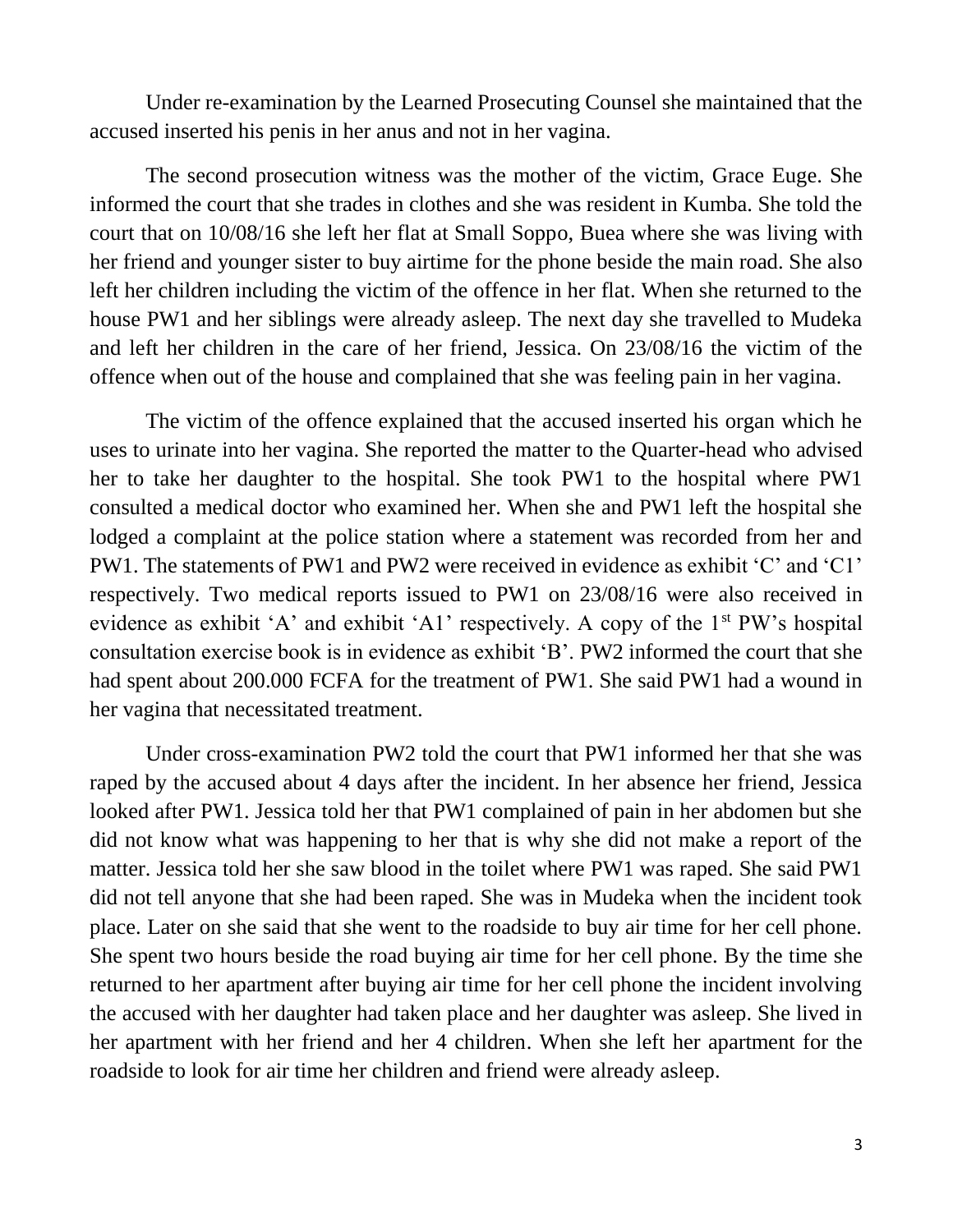Under re-examination by the Learned Prosecuting Counsel she maintained that the accused inserted his penis in her anus and not in her vagina.

The second prosecution witness was the mother of the victim, Grace Euge. She informed the court that she trades in clothes and she was resident in Kumba. She told the court that on 10/08/16 she left her flat at Small Soppo, Buea where she was living with her friend and younger sister to buy airtime for the phone beside the main road. She also left her children including the victim of the offence in her flat. When she returned to the house PW1 and her siblings were already asleep. The next day she travelled to Mudeka and left her children in the care of her friend, Jessica. On 23/08/16 the victim of the offence when out of the house and complained that she was feeling pain in her vagina.

The victim of the offence explained that the accused inserted his organ which he uses to urinate into her vagina. She reported the matter to the Quarter-head who advised her to take her daughter to the hospital. She took PW1 to the hospital where PW1 consulted a medical doctor who examined her. When she and PW1 left the hospital she lodged a complaint at the police station where a statement was recorded from her and PW1. The statements of PW1 and PW2 were received in evidence as exhibit 'C' and 'C1' respectively. Two medical reports issued to PW1 on 23/08/16 were also received in evidence as exhibit 'A' and exhibit 'A1' respectively. A copy of the 1<sup>st</sup> PW's hospital consultation exercise book is in evidence as exhibit 'B'. PW2 informed the court that she had spent about 200.000 FCFA for the treatment of PW1. She said PW1 had a wound in her vagina that necessitated treatment.

Under cross-examination PW2 told the court that PW1 informed her that she was raped by the accused about 4 days after the incident. In her absence her friend, Jessica looked after PW1. Jessica told her that PW1 complained of pain in her abdomen but she did not know what was happening to her that is why she did not make a report of the matter. Jessica told her she saw blood in the toilet where PW1 was raped. She said PW1 did not tell anyone that she had been raped. She was in Mudeka when the incident took place. Later on she said that she went to the roadside to buy air time for her cell phone. She spent two hours beside the road buying air time for her cell phone. By the time she returned to her apartment after buying air time for her cell phone the incident involving the accused with her daughter had taken place and her daughter was asleep. She lived in her apartment with her friend and her 4 children. When she left her apartment for the roadside to look for air time her children and friend were already asleep.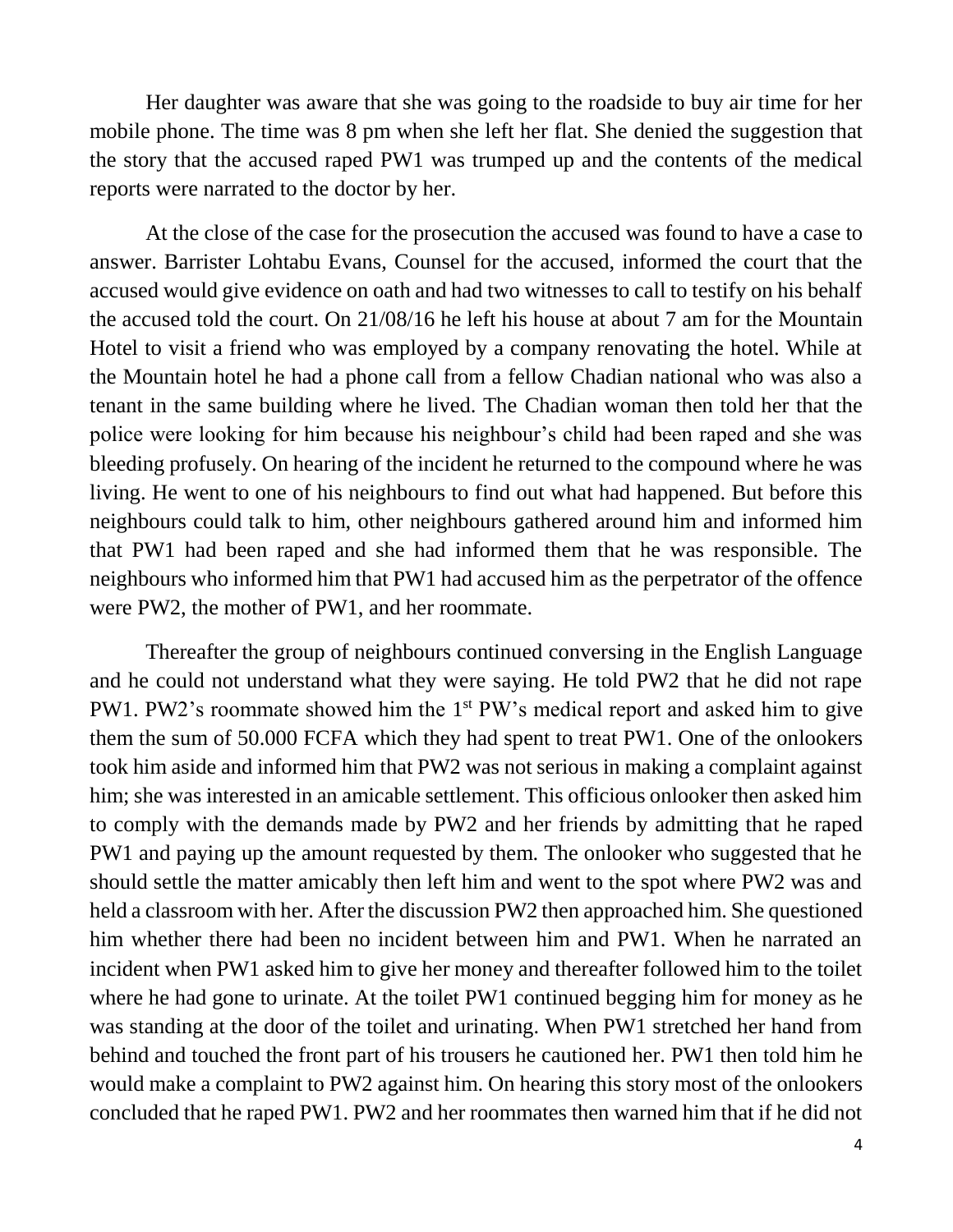Her daughter was aware that she was going to the roadside to buy air time for her mobile phone. The time was 8 pm when she left her flat. She denied the suggestion that the story that the accused raped PW1 was trumped up and the contents of the medical reports were narrated to the doctor by her.

At the close of the case for the prosecution the accused was found to have a case to answer. Barrister Lohtabu Evans, Counsel for the accused, informed the court that the accused would give evidence on oath and had two witnesses to call to testify on his behalf the accused told the court. On 21/08/16 he left his house at about 7 am for the Mountain Hotel to visit a friend who was employed by a company renovating the hotel. While at the Mountain hotel he had a phone call from a fellow Chadian national who was also a tenant in the same building where he lived. The Chadian woman then told her that the police were looking for him because his neighbour's child had been raped and she was bleeding profusely. On hearing of the incident he returned to the compound where he was living. He went to one of his neighbours to find out what had happened. But before this neighbours could talk to him, other neighbours gathered around him and informed him that PW1 had been raped and she had informed them that he was responsible. The neighbours who informed him that PW1 had accused him as the perpetrator of the offence were PW2, the mother of PW1, and her roommate.

Thereafter the group of neighbours continued conversing in the English Language and he could not understand what they were saying. He told PW2 that he did not rape PW1. PW2's roommate showed him the 1<sup>st</sup> PW's medical report and asked him to give them the sum of 50.000 FCFA which they had spent to treat PW1. One of the onlookers took him aside and informed him that PW2 was not serious in making a complaint against him; she was interested in an amicable settlement. This officious onlooker then asked him to comply with the demands made by PW2 and her friends by admitting that he raped PW1 and paying up the amount requested by them. The onlooker who suggested that he should settle the matter amicably then left him and went to the spot where PW2 was and held a classroom with her. After the discussion PW2 then approached him. She questioned him whether there had been no incident between him and PW1. When he narrated an incident when PW1 asked him to give her money and thereafter followed him to the toilet where he had gone to urinate. At the toilet PW1 continued begging him for money as he was standing at the door of the toilet and urinating. When PW1 stretched her hand from behind and touched the front part of his trousers he cautioned her. PW1 then told him he would make a complaint to PW2 against him. On hearing this story most of the onlookers concluded that he raped PW1. PW2 and her roommates then warned him that if he did not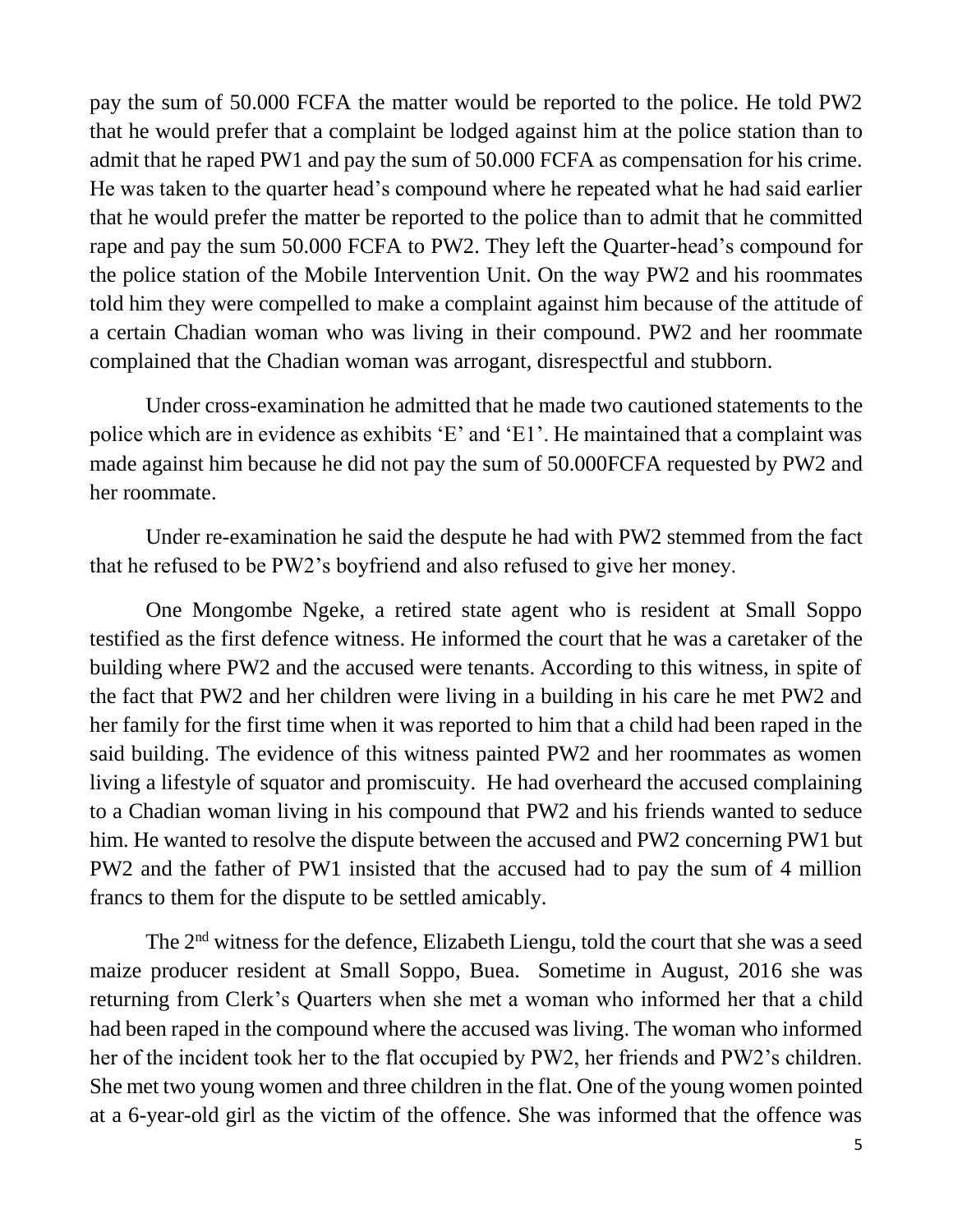pay the sum of 50.000 FCFA the matter would be reported to the police. He told PW2 that he would prefer that a complaint be lodged against him at the police station than to admit that he raped PW1 and pay the sum of 50.000 FCFA as compensation for his crime. He was taken to the quarter head's compound where he repeated what he had said earlier that he would prefer the matter be reported to the police than to admit that he committed rape and pay the sum 50.000 FCFA to PW2. They left the Quarter-head's compound for the police station of the Mobile Intervention Unit. On the way PW2 and his roommates told him they were compelled to make a complaint against him because of the attitude of a certain Chadian woman who was living in their compound. PW2 and her roommate complained that the Chadian woman was arrogant, disrespectful and stubborn.

Under cross-examination he admitted that he made two cautioned statements to the police which are in evidence as exhibits 'E' and 'E1'. He maintained that a complaint was made against him because he did not pay the sum of 50.000FCFA requested by PW2 and her roommate.

Under re-examination he said the despute he had with PW2 stemmed from the fact that he refused to be PW2's boyfriend and also refused to give her money.

One Mongombe Ngeke, a retired state agent who is resident at Small Soppo testified as the first defence witness. He informed the court that he was a caretaker of the building where PW2 and the accused were tenants. According to this witness, in spite of the fact that PW2 and her children were living in a building in his care he met PW2 and her family for the first time when it was reported to him that a child had been raped in the said building. The evidence of this witness painted PW2 and her roommates as women living a lifestyle of squator and promiscuity. He had overheard the accused complaining to a Chadian woman living in his compound that PW2 and his friends wanted to seduce him. He wanted to resolve the dispute between the accused and PW2 concerning PW1 but PW2 and the father of PW1 insisted that the accused had to pay the sum of 4 million francs to them for the dispute to be settled amicably.

The 2nd witness for the defence, Elizabeth Liengu, told the court that she was a seed maize producer resident at Small Soppo, Buea. Sometime in August, 2016 she was returning from Clerk's Quarters when she met a woman who informed her that a child had been raped in the compound where the accused was living. The woman who informed her of the incident took her to the flat occupied by PW2, her friends and PW2's children. She met two young women and three children in the flat. One of the young women pointed at a 6-year-old girl as the victim of the offence. She was informed that the offence was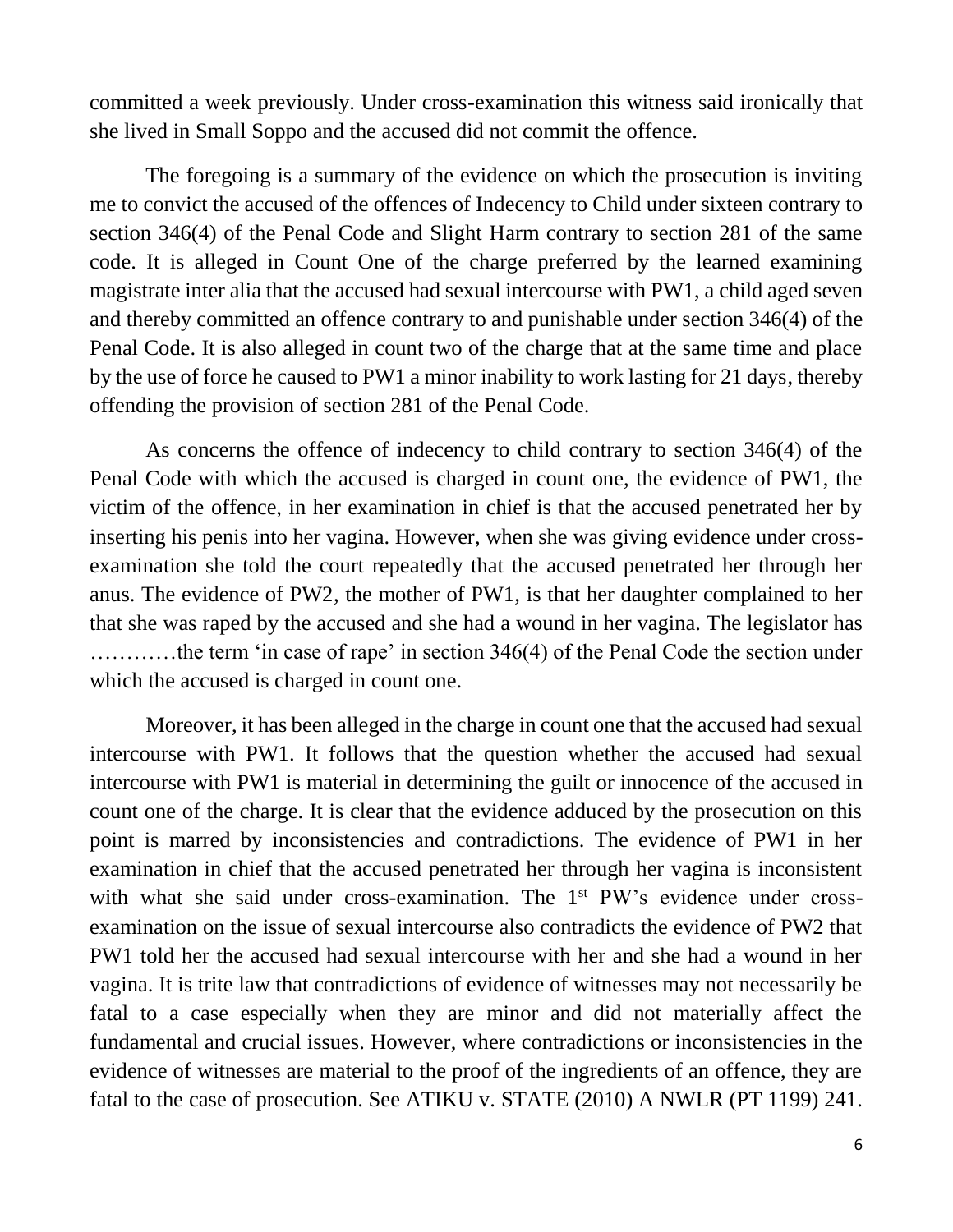committed a week previously. Under cross-examination this witness said ironically that she lived in Small Soppo and the accused did not commit the offence.

The foregoing is a summary of the evidence on which the prosecution is inviting me to convict the accused of the offences of Indecency to Child under sixteen contrary to section 346(4) of the Penal Code and Slight Harm contrary to section 281 of the same code. It is alleged in Count One of the charge preferred by the learned examining magistrate inter alia that the accused had sexual intercourse with PW1, a child aged seven and thereby committed an offence contrary to and punishable under section 346(4) of the Penal Code. It is also alleged in count two of the charge that at the same time and place by the use of force he caused to PW1 a minor inability to work lasting for 21 days, thereby offending the provision of section 281 of the Penal Code.

As concerns the offence of indecency to child contrary to section 346(4) of the Penal Code with which the accused is charged in count one, the evidence of PW1, the victim of the offence, in her examination in chief is that the accused penetrated her by inserting his penis into her vagina. However, when she was giving evidence under crossexamination she told the court repeatedly that the accused penetrated her through her anus. The evidence of PW2, the mother of PW1, is that her daughter complained to her that she was raped by the accused and she had a wound in her vagina. The legislator has …………the term 'in case of rape' in section 346(4) of the Penal Code the section under which the accused is charged in count one.

Moreover, it has been alleged in the charge in count one that the accused had sexual intercourse with PW1. It follows that the question whether the accused had sexual intercourse with PW1 is material in determining the guilt or innocence of the accused in count one of the charge. It is clear that the evidence adduced by the prosecution on this point is marred by inconsistencies and contradictions. The evidence of PW1 in her examination in chief that the accused penetrated her through her vagina is inconsistent with what she said under cross-examination. The 1<sup>st</sup> PW's evidence under crossexamination on the issue of sexual intercourse also contradicts the evidence of PW2 that PW1 told her the accused had sexual intercourse with her and she had a wound in her vagina. It is trite law that contradictions of evidence of witnesses may not necessarily be fatal to a case especially when they are minor and did not materially affect the fundamental and crucial issues. However, where contradictions or inconsistencies in the evidence of witnesses are material to the proof of the ingredients of an offence, they are fatal to the case of prosecution. See ATIKU v. STATE (2010) A NWLR (PT 1199) 241.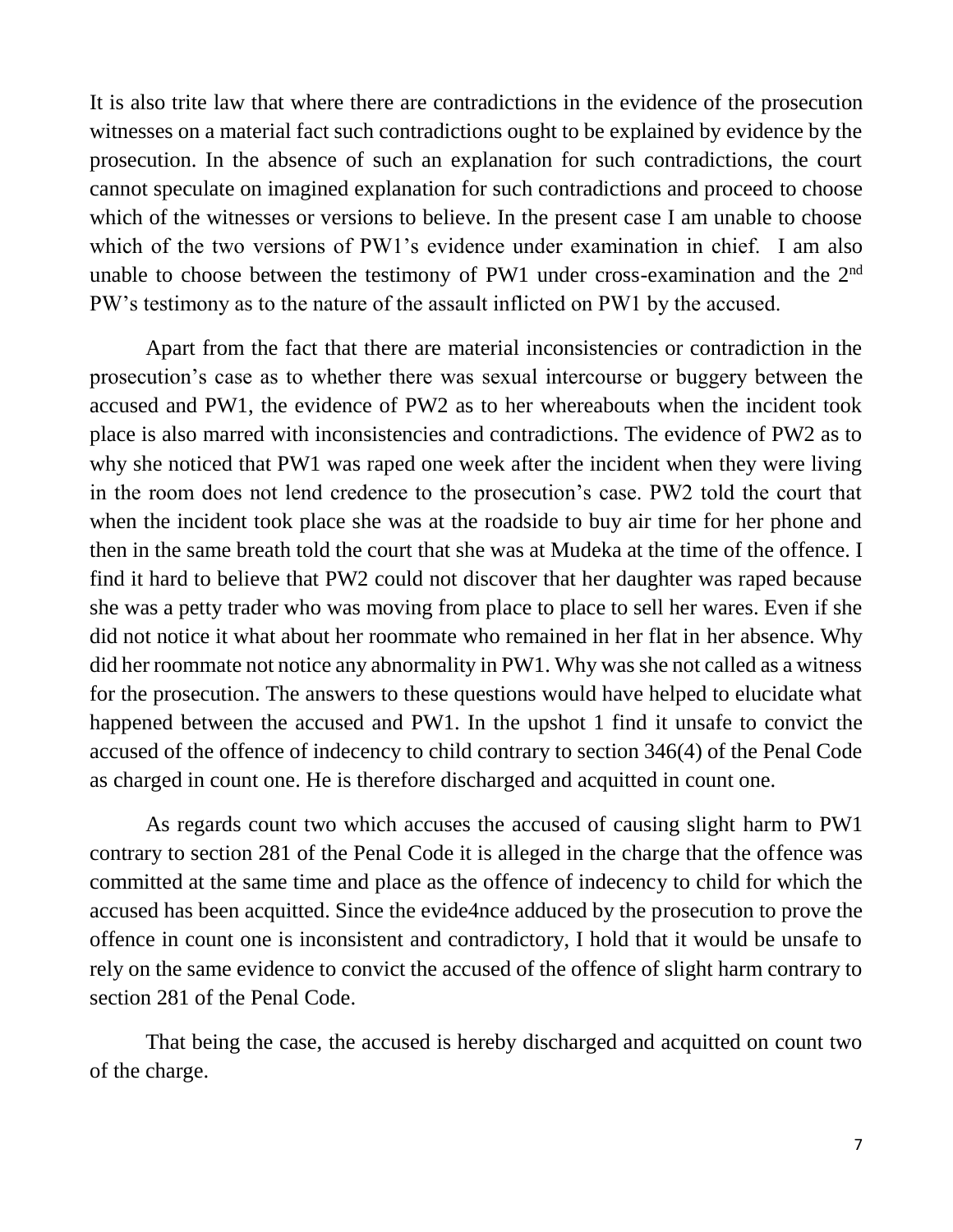It is also trite law that where there are contradictions in the evidence of the prosecution witnesses on a material fact such contradictions ought to be explained by evidence by the prosecution. In the absence of such an explanation for such contradictions, the court cannot speculate on imagined explanation for such contradictions and proceed to choose which of the witnesses or versions to believe. In the present case I am unable to choose which of the two versions of PW1's evidence under examination in chief. I am also unable to choose between the testimony of PW1 under cross-examination and the  $2<sup>nd</sup>$ PW's testimony as to the nature of the assault inflicted on PW1 by the accused.

Apart from the fact that there are material inconsistencies or contradiction in the prosecution's case as to whether there was sexual intercourse or buggery between the accused and PW1, the evidence of PW2 as to her whereabouts when the incident took place is also marred with inconsistencies and contradictions. The evidence of PW2 as to why she noticed that PW1 was raped one week after the incident when they were living in the room does not lend credence to the prosecution's case. PW2 told the court that when the incident took place she was at the roadside to buy air time for her phone and then in the same breath told the court that she was at Mudeka at the time of the offence. I find it hard to believe that PW2 could not discover that her daughter was raped because she was a petty trader who was moving from place to place to sell her wares. Even if she did not notice it what about her roommate who remained in her flat in her absence. Why did her roommate not notice any abnormality in PW1. Why was she not called as a witness for the prosecution. The answers to these questions would have helped to elucidate what happened between the accused and PW1. In the upshot 1 find it unsafe to convict the accused of the offence of indecency to child contrary to section 346(4) of the Penal Code as charged in count one. He is therefore discharged and acquitted in count one.

As regards count two which accuses the accused of causing slight harm to PW1 contrary to section 281 of the Penal Code it is alleged in the charge that the offence was committed at the same time and place as the offence of indecency to child for which the accused has been acquitted. Since the evide4nce adduced by the prosecution to prove the offence in count one is inconsistent and contradictory, I hold that it would be unsafe to rely on the same evidence to convict the accused of the offence of slight harm contrary to section 281 of the Penal Code.

That being the case, the accused is hereby discharged and acquitted on count two of the charge.